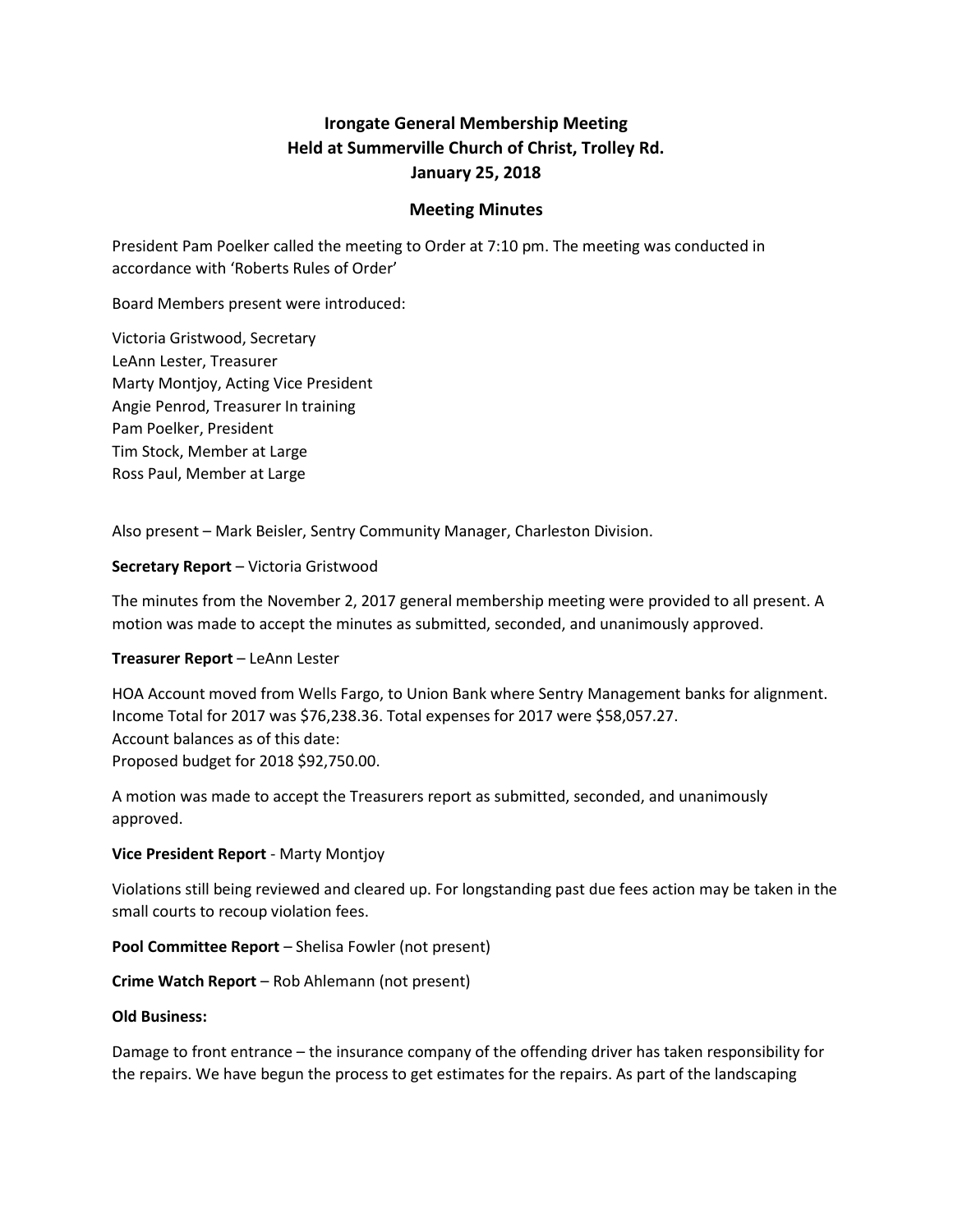# **Irongate General Membership Meeting Held at Summerville Church of Christ, Trolley Rd. January 25, 2018**

#### **Meeting Minutes**

President Pam Poelker called the meeting to Order at 7:10 pm. The meeting was conducted in accordance with 'Roberts Rules of Order'

Board Members present were introduced:

Victoria Gristwood, Secretary LeAnn Lester, Treasurer Marty Montjoy, Acting Vice President Angie Penrod, Treasurer In training Pam Poelker, President Tim Stock, Member at Large Ross Paul, Member at Large

Also present – Mark Beisler, Sentry Community Manager, Charleston Division.

#### **Secretary Report** – Victoria Gristwood

The minutes from the November 2, 2017 general membership meeting were provided to all present. A motion was made to accept the minutes as submitted, seconded, and unanimously approved.

### **Treasurer Report** – LeAnn Lester

HOA Account moved from Wells Fargo, to Union Bank where Sentry Management banks for alignment. Income Total for 2017 was \$76,238.36. Total expenses for 2017 were \$58,057.27. Account balances as of this date: Proposed budget for 2018 \$92,750.00.

A motion was made to accept the Treasurers report as submitted, seconded, and unanimously approved.

### **Vice President Report** - Marty Montjoy

Violations still being reviewed and cleared up. For longstanding past due fees action may be taken in the small courts to recoup violation fees.

**Pool Committee Report** – Shelisa Fowler (not present)

**Crime Watch Report** – Rob Ahlemann (not present)

#### **Old Business:**

Damage to front entrance – the insurance company of the offending driver has taken responsibility for the repairs. We have begun the process to get estimates for the repairs. As part of the landscaping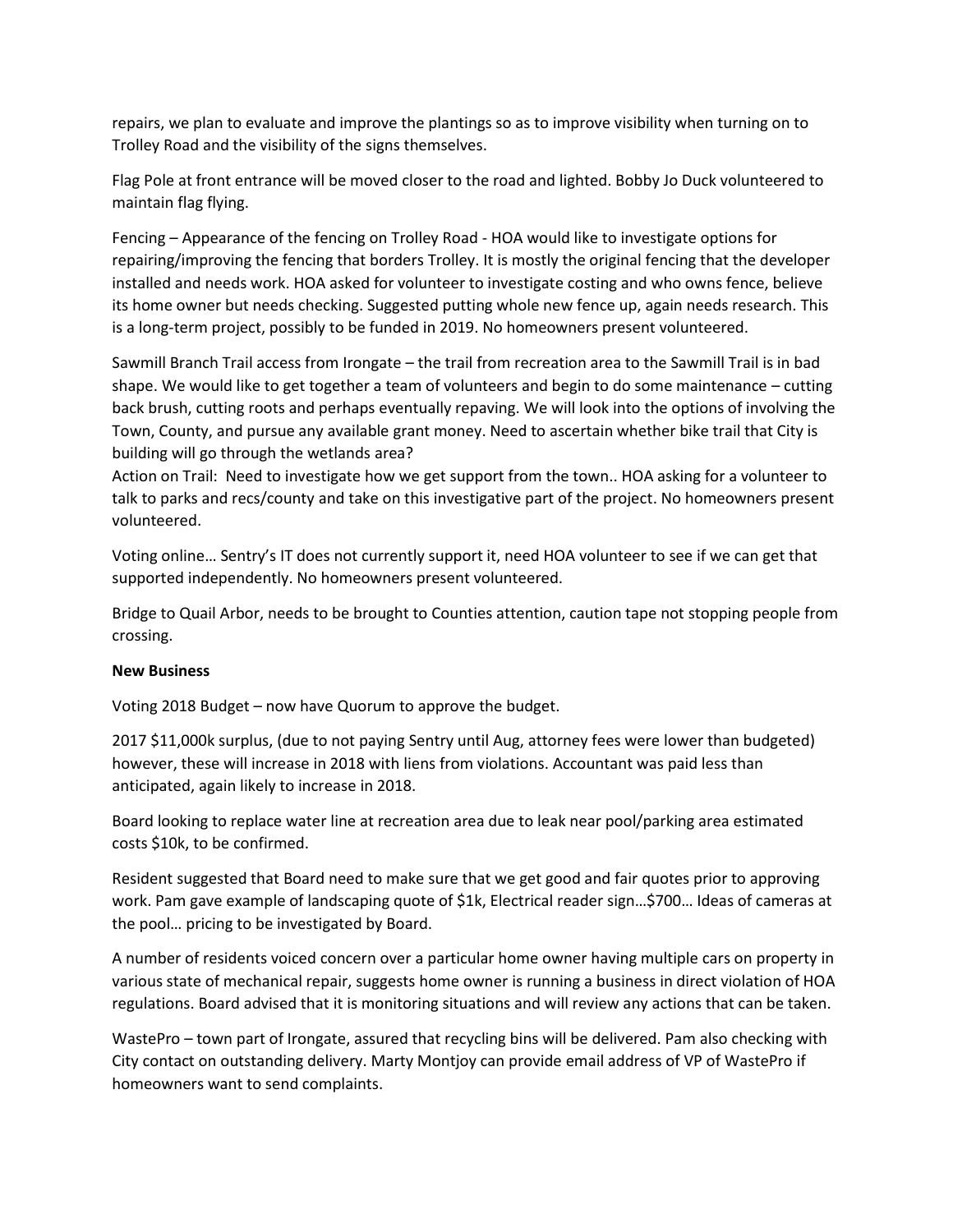repairs, we plan to evaluate and improve the plantings so as to improve visibility when turning on to Trolley Road and the visibility of the signs themselves.

Flag Pole at front entrance will be moved closer to the road and lighted. Bobby Jo Duck volunteered to maintain flag flying.

Fencing – Appearance of the fencing on Trolley Road - HOA would like to investigate options for repairing/improving the fencing that borders Trolley. It is mostly the original fencing that the developer installed and needs work. HOA asked for volunteer to investigate costing and who owns fence, believe its home owner but needs checking. Suggested putting whole new fence up, again needs research. This is a long-term project, possibly to be funded in 2019. No homeowners present volunteered.

Sawmill Branch Trail access from Irongate – the trail from recreation area to the Sawmill Trail is in bad shape. We would like to get together a team of volunteers and begin to do some maintenance – cutting back brush, cutting roots and perhaps eventually repaving. We will look into the options of involving the Town, County, and pursue any available grant money. Need to ascertain whether bike trail that City is building will go through the wetlands area?

Action on Trail: Need to investigate how we get support from the town.. HOA asking for a volunteer to talk to parks and recs/county and take on this investigative part of the project. No homeowners present volunteered.

Voting online… Sentry's IT does not currently support it, need HOA volunteer to see if we can get that supported independently. No homeowners present volunteered.

Bridge to Quail Arbor, needs to be brought to Counties attention, caution tape not stopping people from crossing.

### **New Business**

Voting 2018 Budget – now have Quorum to approve the budget.

2017 \$11,000k surplus, (due to not paying Sentry until Aug, attorney fees were lower than budgeted) however, these will increase in 2018 with liens from violations. Accountant was paid less than anticipated, again likely to increase in 2018.

Board looking to replace water line at recreation area due to leak near pool/parking area estimated costs \$10k, to be confirmed.

Resident suggested that Board need to make sure that we get good and fair quotes prior to approving work. Pam gave example of landscaping quote of \$1k, Electrical reader sign…\$700… Ideas of cameras at the pool… pricing to be investigated by Board.

A number of residents voiced concern over a particular home owner having multiple cars on property in various state of mechanical repair, suggests home owner is running a business in direct violation of HOA regulations. Board advised that it is monitoring situations and will review any actions that can be taken.

WastePro – town part of Irongate, assured that recycling bins will be delivered. Pam also checking with City contact on outstanding delivery. Marty Montjoy can provide email address of VP of WastePro if homeowners want to send complaints.